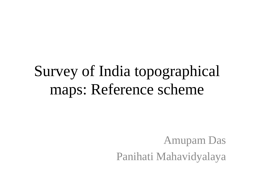## Survey of India topographical maps: Reference scheme

Amupam Das Panihati Mahavidyalaya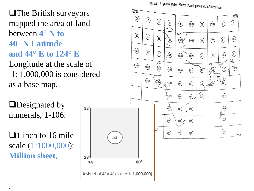Fig. 8.3 Layout of Million Sheets Covering the Indian Subcontinent

 $\circled{60}$ 

 $(69)$ 

 $(51)$ 

40°N

 $(89)$ 

 $(90)$ 

 $(91)$ 

 $\frac{3}{2}$ 

 $(80)$ 

 $(81)$ 

 $(82)$ 

 $(83)$ 

 $\sqrt{84}$ 

 $\circled{85}$ 

 $(86)$ 

 $(67)$ 

 $88$ 

100°E

 $(75)$ 

## **The British surveyors** mapped the area of land between **4° N to 40° N Latitude and 44° E to 124° E**

Longitude at the scale of 1: 1,000,000 is considered as a base map.

**O**Designated by numerals, 1-106.

 $\Box$ 1 inch to 16 mile scale (1:1000,000): **Million sheet**.

.



 $60^{\circ}E$ 

 $(28)$ 

 $(32)$ 

 $\binom{37}{}$ 

 $\left( 42\right)$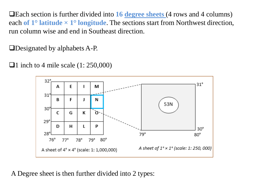Each section is further divided into **16 degree sheets** (4 rows and 4 columns) each **of 1° latitude × 1° longitude**. The sections start from Northwest direction, run column wise and end in Southeast direction.

Designated by alphabets A-P.

 $\Box$ 1 inch to 4 mile scale (1: 250,000)



A Degree sheet is then further divided into 2 types: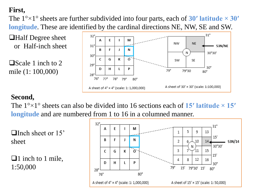## **First,**

The  $1^{\circ} \times 1^{\circ}$  sheets are further subdivided into four parts, each of **30'** latitude  $\times$  **30' longitude**. These are identified by the cardinal directions NE, NW, SE and SW.

**Half Degree sheet** or Half-inch sheet

 $\Box$  Scale 1 inch to 2 mile (1: 100,000)



## **Second,**

The  $1^{\circ} \times 1^{\circ}$  sheets can also be divided into 16 sections each of 15' latitude  $\times$  15' **longitude** and are numbered from 1 to 16 in a columned manner.

 $\Box$  Inch sheet or 15' sheet

 $\Box$ 1 inch to 1 mile, 1:50,000

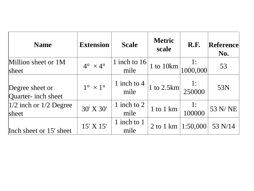| <b>Name</b>                            | <b>Extension</b>             | <b>Scale</b>           | <b>Metric</b><br>scale | <b>R.F.</b>          | Reference<br>No. |
|----------------------------------------|------------------------------|------------------------|------------------------|----------------------|------------------|
| Million sheet or 1M<br>sheet           | $4^{\circ} \times 4^{\circ}$ | 1 inch to $16$<br>mile | 1 to $10km$            | $\frac{1}{1000,000}$ | 53               |
| Degree sheet or<br>Quarter- inch sheet | $1^{\circ} \times 1^{\circ}$ | 1 inch to 4<br>mile    | 1 to $2.5$ km          | $\frac{1}{250000}$   | 53N              |
| $1/2$ inch or $1/2$ Degree<br>sheet    | 30' X 30'                    | 1 inch to 2<br>mile    | $1$ to $1$ km          | 1:<br>100000         | 53 N/NE          |
| Inch sheet or 15' sheet                | 15' X 15'                    | 1 inch to 1<br>mile    | 2 to 1 km              | 1:50,000             | 53 N/14          |